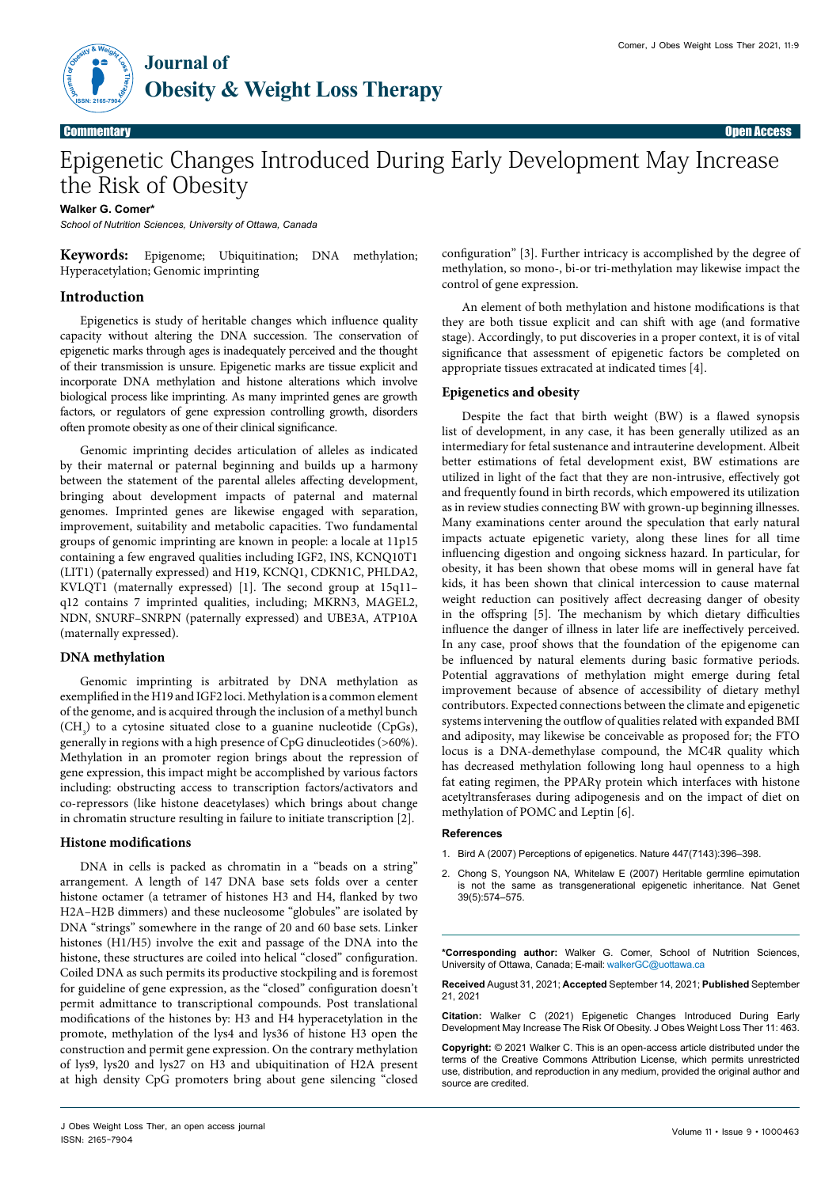

# Epigenetic Changes Introduced During Early Development May Increase the Risk of Obesity

## **Walker G. Comer\***

*School of Nutrition Sciences, University of Ottawa, Canada*

**Keywords:** Epigenome; Ubiquitination; DNA methylation; Hyperacetylation; Genomic imprinting

# **Introduction**

Epigenetics is study of heritable changes which influence quality capacity without altering the DNA succession. The conservation of epigenetic marks through ages is inadequately perceived and the thought of their transmission is unsure. Epigenetic marks are tissue explicit and incorporate DNA methylation and histone alterations which involve biological process like imprinting. As many imprinted genes are growth factors, or regulators of gene expression controlling growth, disorders often promote obesity as one of their clinical significance.

Genomic imprinting decides articulation of alleles as indicated by their maternal or paternal beginning and builds up a harmony between the statement of the parental alleles affecting development, bringing about development impacts of paternal and maternal genomes. Imprinted genes are likewise engaged with separation, improvement, suitability and metabolic capacities. Two fundamental groups of genomic imprinting are known in people: a locale at 11p15 containing a few engraved qualities including IGF2, INS, KCNQ10T1 (LIT1) (paternally expressed) and H19, KCNQ1, CDKN1C, PHLDA2, KVLQT1 (maternally expressed) [1]. The second group at 15q11– q12 contains 7 imprinted qualities, including; MKRN3, MAGEL2, NDN, SNURF–SNRPN (paternally expressed) and UBE3A, ATP10A (maternally expressed).

# **DNA methylation**

Genomic imprinting is arbitrated by DNA methylation as exemplified in the H19 and IGF2 loci. Methylation is a common element of the genome, and is acquired through the inclusion of a methyl bunch  $(CH<sub>3</sub>)$  to a cytosine situated close to a guanine nucleotide (CpGs), generally in regions with a high presence of CpG dinucleotides (>60%). Methylation in an promoter region brings about the repression of gene expression, this impact might be accomplished by various factors including: obstructing access to transcription factors/activators and co-repressors (like histone deacetylases) which brings about change in chromatin structure resulting in failure to initiate transcription [2].

### **Histone modifications**

DNA in cells is packed as chromatin in a "beads on a string" arrangement. A length of 147 DNA base sets folds over a center histone octamer (a tetramer of histones H3 and H4, flanked by two H2A–H2B dimmers) and these nucleosome "globules" are isolated by DNA "strings" somewhere in the range of 20 and 60 base sets. Linker histones (H1/H5) involve the exit and passage of the DNA into the histone, these structures are coiled into helical "closed" configuration. Coiled DNA as such permits its productive stockpiling and is foremost for guideline of gene expression, as the "closed" configuration doesn't permit admittance to transcriptional compounds. Post translational modifications of the histones by: H3 and H4 hyperacetylation in the promote, methylation of the lys4 and lys36 of histone H3 open the construction and permit gene expression. On the contrary methylation of lys9, lys20 and lys27 on H3 and ubiquitination of H2A present at high density CpG promoters bring about gene silencing "closed

configuration" [3]. Further intricacy is accomplished by the degree of methylation, so mono-, bi-or tri-methylation may likewise impact the control of gene expression.

An element of both methylation and histone modifications is that they are both tissue explicit and can shift with age (and formative stage). Accordingly, to put discoveries in a proper context, it is of vital significance that assessment of epigenetic factors be completed on appropriate tissues extracated at indicated times [4].

### **Epigenetics and obesity**

Despite the fact that birth weight (BW) is a flawed synopsis list of development, in any case, it has been generally utilized as an intermediary for fetal sustenance and intrauterine development. Albeit better estimations of fetal development exist, BW estimations are utilized in light of the fact that they are non-intrusive, effectively got and frequently found in birth records, which empowered its utilization as in review studies connecting BW with grown-up beginning illnesses. Many examinations center around the speculation that early natural impacts actuate epigenetic variety, along these lines for all time influencing digestion and ongoing sickness hazard. In particular, for obesity, it has been shown that obese moms will in general have fat kids, it has been shown that clinical intercession to cause maternal weight reduction can positively affect decreasing danger of obesity in the offspring [5]. The mechanism by which dietary difficulties influence the danger of illness in later life are ineffectively perceived. In any case, proof shows that the foundation of the epigenome can be influenced by natural elements during basic formative periods. Potential aggravations of methylation might emerge during fetal improvement because of absence of accessibility of dietary methyl contributors. Expected connections between the climate and epigenetic systems intervening the outflow of qualities related with expanded BMI and adiposity, may likewise be conceivable as proposed for; the FTO locus is a DNA-demethylase compound, the MC4R quality which has decreased methylation following long haul openness to a high fat eating regimen, the PPARγ protein which interfaces with histone acetyltransferases during adipogenesis and on the impact of diet on methylation of POMC and Leptin [6].

#### **References**

- 1. [Bird A \(2007\) Perceptions of epigenetics. Nature 447\(7143\):396–398.](https://doi.org/10.5435/00124635-201109000-00004)
- 2. [Chong S, Youngson NA, Whitelaw E \(2007\) Heritable germline epimutation](https://doi.org/10.5435/jaaos-d-17-00606)  [is not the same as transgenerational epigenetic inheritance. Nat Genet](https://doi.org/10.5435/jaaos-d-17-00606)  [39\(5\):574–575.](https://doi.org/10.5435/jaaos-d-17-00606)

**\*Corresponding author:** Walker G. Comer, School of Nutrition Sciences, University of Ottawa, Canada; E-mail: walkerGC@uottawa.ca

**Received** August 31, 2021; **Accepted** September 14, 2021; **Published** September 21, 2021

**Citation:** Walker C (2021) Epigenetic Changes Introduced During Early Development May Increase The Risk Of Obesity. J Obes Weight Loss Ther 11: 463.

**Copyright:** © 2021 Walker C. This is an open-access article distributed under the terms of the Creative Commons Attribution License, which permits unrestricted use, distribution, and reproduction in any medium, provided the original author and source are credited.